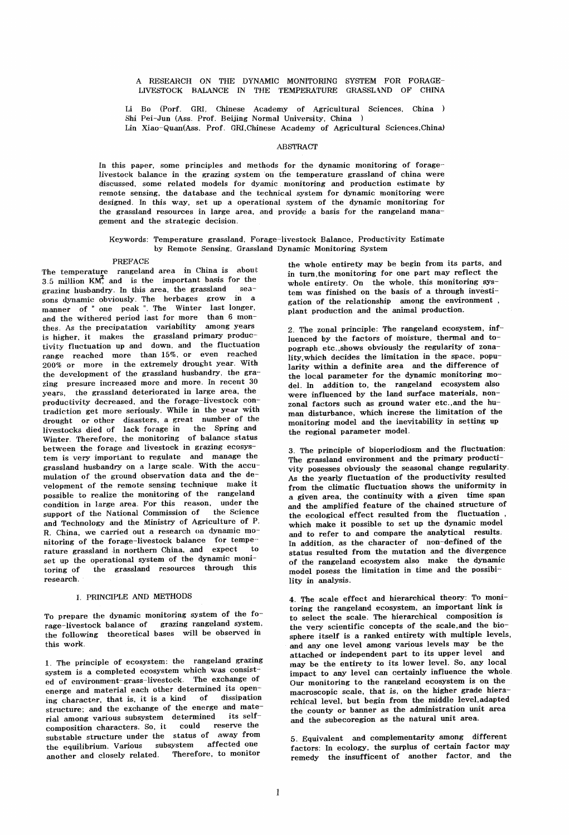A RESEARCH ON THE DYNAMIC MONITORING SYSTEM FOR FORAGE-LIVESTOCK BALANCE IN THE TEMPERATURE GRASSLAND OF CHINA

Li Bo (Porf. GRI, Chinese Academy of Agricultural Sciences, China Shi Pei-Jun (Ass. Prof. Beijing Normal University, China )

Lin Xiao-Quan(Ass. Prof. GRI,Chinese Academy of Agricultural Sciences,China)

# **ABSTRACT**

In this paper, some principles and methods for the dynamic monitoring of foragelivestock balance in the grazing system on the temperature grassland of china were discussed, some related models for dyamic monitoring and production estimate by remote sensing, the database and the technical system for dynamic monitoring were designed. In this way, set up a operational system of the dynamic monitoring for the grassland resources in large area, and provide a basis for the rangeland management and the strategic decision.

## Keywords: Temperature grassland, Forage-livestock Balance, Productivity Estimate by Remote Sensing. Grassland Dynamic Monitoring System

### PREFACE

The temperature rangeland area in China is about  $3.5$  million  $KM^2$ , and is the important basis for the grazing husbandry. In this area, the grassland seasons dynamic obviously. The berbages grow in a manner of" one peak ". The Winter last longer, and the withered period last for more than 6 monthes. As the precipatation variability among years is higher, it makes the grassland primary productivity fluctuation up and down, and the fluctuation range reached more than 15%, or even reached 200% or more in the extremely drought year. With the development of the grassland husbandry, the grazing presure increased more and more. In recent 30 years, the grassland deteriorated in large area, the productivity decreased, and the forage-livestock contradiction get more seriously. While in the year with drought or other disasters, a great number of the livestocks died of lack forage in the Spring and Winter. Therefore, the monitoring of balance status between the forage and livestock in grazing ecosystem is very important to regulate and manage the grassland husbandry on a large scale. With the accumulation of the ground observation data and the development of the remote sensing technique make it possible to realize' the monitoring of the rangeland condition in large area. For this reason, under the support of the National Commission of the Science and Technology and the Ministry of Agriculture of P. R. China, we carried out a research on dynamic monitoring of the forage-livestock balance for tempe- rature grassland in northern China, and expect to set up the operational system of the dynamic monitoring of the grassland resources through this research.

## 1. PRINCIPLE AND METHODS

To prepare the dynamic monitoring system of the forage-livestock balance of grazing rangeland system. the following theoretical bases will be observed in this work.

1. The principle of' ecosystem: the rangeland grazing system is a completed ecosystem which was consisted of environment-grass--livestock. The exchange of energe and material each other determined its opening character, that is. it is a kind of dissipation structure; and the exchange of the energe and material among various subsystem determined its selfcomposition characters. So, it could reserve the substable structure under the status of away from<br>the equilibrium, Various subsystem affected one the equilibrium. Various subsystem another and closely related. Therefore, to monitor

the whole entirety may be begin from its parts, and in turn,the monitoring for one part may reflect the whole entirety. On the whole, this monitoring system was finished on the basis of a through investigation of the relationship among the environment plant production and the animal production.

2. The zonal principle: The rangeland ecosystem, influenced by the factors of moisture, thermal and topograph etc.,shows obviously the regularity of zonality,which decides the limitation in the space, popularity within a definite area and the difference of the local parameter for the dynamic monitoring model. In addition to, the rangeland ecosystem also were influenced by the land surface materials, nonzonal factors such as ground water etc., and the human disturbance, which increse the limitation of the monitoring model and the inevitability in setting up the regional parameter model.

3. The principle of bioperiodiosm and the fluctuation: The grassland environment and the primary productivity posesses obviously the seasonal change regularity. As the yearly fluctuation of the productivity resulted from the climatic fluctuation shows the uniformity in a given area, the continuity with a given time span and the amplified feature of the chained structure of the ecological effect resulted from the fluctuation. which make it possible to set up the dynamic model and to refer to and compare the analytical results; In addition, as the character of non-defined of the status resulted from the mutation and the divergence of the rangeland ecosystem also make the dynamic model posess the limitation in time and the possibility in analysis.

4. The scale effect and hierarchical theory: To monitoring the rangeland ecosystem, an important link is to select the scale. The hierarchical composition is the very scientific concepts of the scale,and the biosphere itself is a ranked entirety with multiple levels, and anyone level among various levels may be the attached or independent part to its upper level and may be the entirety to its lower level. So, any local impact to any level can certainly influence the whole. Our monitoring to the rangeland ecosystem is on the macroscopic scale, that is, on the higher grade hierarchical level, but begin from the middle level,adapted the county or banner as the administration unit area and the subecoregion as the natural unit area.

5. Equivalent and complementarity among different factors: In ecology, the surplus of certain factor may remedy the insufficent of another factor, and the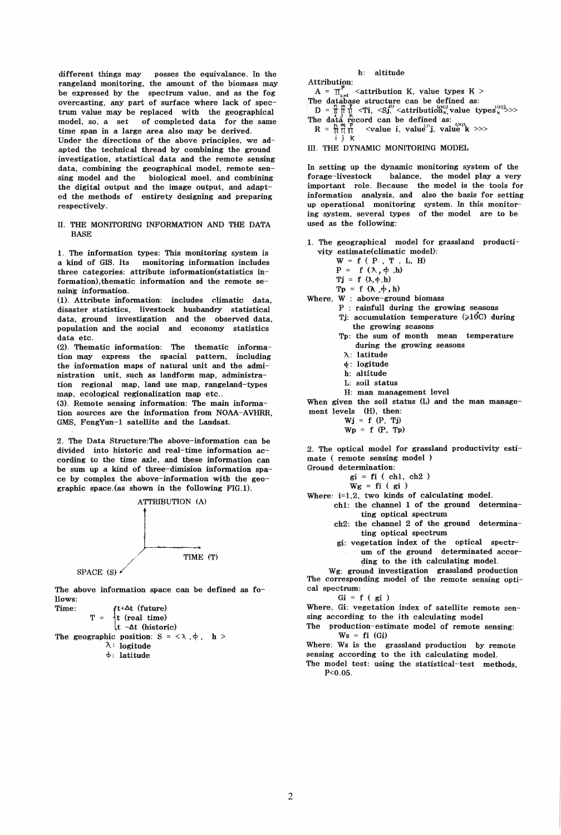different things may posses the equivalance. In the rangeland monitoring, the amount of the biomass may be expressed by the spectrum value, and as the fog overcasting, any part of surface where lack of spectrum value may be replaced with the geographical model, so; a set of completed data for the same time span in a large area also may be derived. Under the directions of the above principles, we adapted the technical thread by combining the ground investigation, statistical data and the remote sensing data, combining the geographical model, remote sen- .sing model and the biological moel, and combining the digital output and the image output, and adapted the methods of entirety designing and preparing respectively .

# II. THE MONITORING INFORMATION AND THE DATA **BASE**

1. The information types: This monitoring system is a kind of GIS. Its monitoring information includes three categories: attribute information(statistics information) , thematic information and the remote sensing information.

(1). Attribute information: includes climatic data, disaster statistics, livestock husbandry statistical data, ground investigation and the observed data, population and the social and economy statistics data etc.

(2). Thematic information: The thematic information may express the spacial pattern, including the information maps of natural unit and the administration unit, such as landform map, administration regional map, land use map, rangeland-types map, ecological regionalization map etc...

(3). Remote sensing information: The main information sources are the information from NOAA-AVHRR, GMS, FengYun-I satellite and the Landsat.

2. The Data Structure:The above-information can be divided into historic and. real-time information according to the time axle, and these information can be sum up a kind of three-dimision information space by complex the above-information with the geographic space.(as shown in the following FIG.I).



The above information space can be defined as follows:



# h: altitude

Attribution: A =  $\pi_{k \neq i}^{\mathsf{P}}$  <attribution K, value types K > The database structure can be defined as:<br>  $D = \frac{m}{1!} \frac{m}{1!} \frac{d}{dt} \langle Ti, \langle Sj_i \rangle \langle$  attribution" value types k">>>

- The data record can be defined as:<br>  $R = \frac{R}{R} \prod_{i=1}^{m}$  <value i, value i, value k >>>
- i j K
- III. THE DYNAMIC MONITORING MODEL

In setting up the dynamic monitoring system of the forage-livestock balance, the model play a very important role. Because the model is the tools for information analysis, and also the basis for setting up operational monitoring system. In this monitoring ·system, several types of the model are to be used as the following:

1. The geographical model for grassland productivity estimate(climatic model):

 $W = f ( P \cdot , T , L, H)$ 

 $P = f (\lambda, \phi, h)$ 

 $Tj = f (\lambda, \phi, h)$ 

 $Tp = f(\lambda, \phi, h)$ 

Where, W : above-ground biomass

- P : rainfull during the growing seasons Tj: accumulation temperature  $(>10^{\circ}C)$  during
	- the growing seasons Tp: the sum of month mean temperature
		- during the growing seasons
	- 7\..: latitude
	- d: logitude
	- h: altitude
	- L: soil status
	- H: man management level

When given the soil status (L) and the man management levels (H), then:

- $Wj = f(P, Tj)$
- $Wp = f (P, Tp)$

2. The optical model for grassland productivity estimate ( remote sensing model )

- Ground determination:
	- $gi = fi (ch1, ch2)$
	- $Wg = fi ( gi )$
- Where:  $i=1,2$ , two kinds of calculating model.
	- ch1: the channel 1 of the ground determinating optical spectrum
		- ch2: the channel 2 of the ground determinating optical spectrum
		- gi: vegetation index of the optical spectrum of the ground determinated according to the ith calculating model.
		- Wg: ground investigation grassland production

The corresponding model of the remote sensing optical spectrum:

 $Gi = f(gi)$ 

Where, Gi: vegetation index of satellite remote sensing according to the ith calculating model

The production-estimate model of remote sensing:  $Ws = fi$  (Gi)

Where: Ws is the grassland production by remote sensing according to the ith calculating model.

The model test: using the statistical-test methods,  $P < 0.05$ .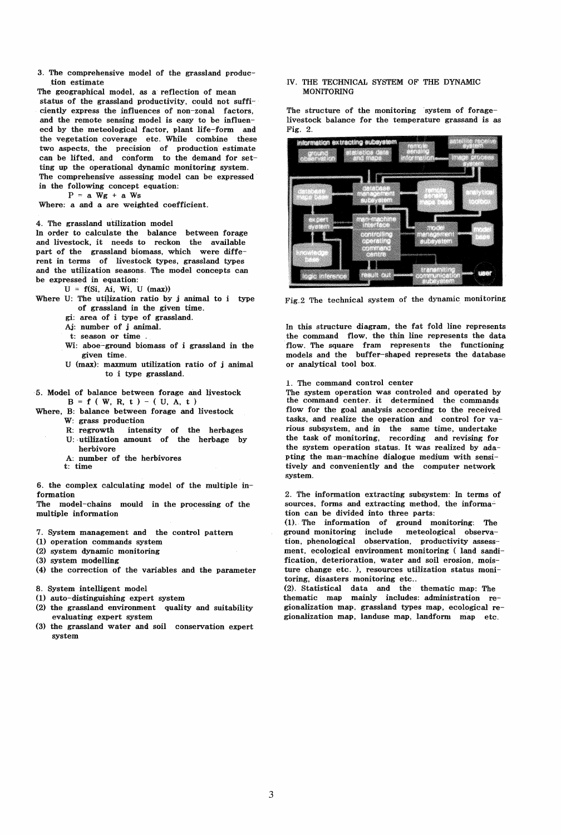3. The comprehensive model of the grassland production estimate

The geographical model, as a reflection of mean status of the grassland productivity, could not sufficiently express the influences of non-zonal factors, and the remote sensing model is easy to be influenecd by the meteological factor, plant life-form and the vegetation coverage etc. While combine these two aspects, the precision of production estimate can be lifted, and conform to the demand for setting up the operational dynamic monitoring system. The comprehensive assessing model can be expressed in the following concept equation:

 $P = a Wg + a Ws$ 

Where: a and a are weighted coefficient.

4. The grassland utilization model

In order to calculate the balance between forage and livestock, it needs to reckon the available part of the grassland biomass, which were different in terms of livestock types, grassland types and the utilization seasons. The model concepts can be expressed in equation:

 $U = f(Si, Ai, Wi, U (max))$ 

- Where U: The utilization ratio by  $j$  animal to  $i$  type of grassland in the given time.
	- gi: area of i type of grassland.
	- Aj: number of j animal.
	- t: season or time .
	- Wi: aboe-ground biomass of i grassland in the given time.
	- U (max): maxmum utilization ratio of j animal to i type grassland.
- '5. Model of balance between forage and livestock  $B = f ( W, R, t ) - ( U, A, t )$
- Where, B: balance between forage and livestock
	- W: grass production<br>R: regrowth inten
	- intensity of the herbages U: utilization amount of the herbage by herbivore
	- A: number of the herbivores
	- t: time

6. the complex calculating model of the multiple information

The model-chains mould in the processing of the multiple information

- 7. System management and the control pattern
- (1) operation commands system
- (2) system dynamic monitoring
- (3) system modelling
- (4) the correction of the variables and the parameter
- 8. System intelligent model
- (1) auto-distinguishing expert system
- (2) the grassland environment quality and suitability evaluating expert system
- (3) the grassland water and soil conservation expert system

## IV. THE TECHNICAL SYSTEM OF THE DYNAMIC MONITORING

The structure of the monitoring 'system of foragelivestock balance for the temperature grassand is as Fig. 2.



Fig.2 The technical system of the dynamic monitoring

In this structure diagram, the fat fold line represents the command flow, the thin line represents the data flow. The square fram represents the functioning models and the buffer-shaped represets the database or analytical tool box.

1. The command control center

The system operation was controled and operated by the command center. it determined the commands flow for the goal analysis according to the received tasks, and realize the operation and control for various subsYstem, and in the same time, undertake the task of monitoring, recording and revising for the system operation status. It was realized by adapting the man-machine dialogue medium with sensitively and conveniently and the computer network system.

2. The information extracting subsystem: In terms of sources, forms and extracting method, the information can be divided into three parts:

(1). The information of ground monitoring: The ground monitoring include meteological observation, phenological observation, productivity assessment, ecological environment monitoring ( land sandification, deterioration, water and soil erosion, moisture change etc. ), resources utilization status monitoring, disasters monitoring etc..

(2). Statistical data and the thematic map: The thematic map mainly includes: administration regionalization map, grassiand types map, ecological regionalization map, landuse map, landform map etc.